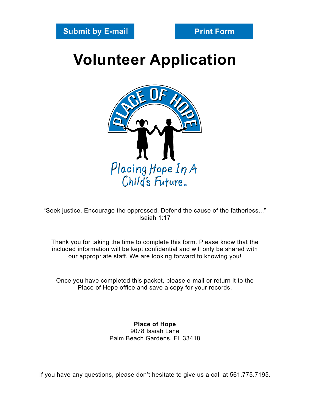## **Volunteer Application**



"Seek justice. Encourage the oppressed. Defend the cause of the fatherless..." Isaiah 1:17

Thank you for taking the time to complete this form. Please know that the included information will be kept confidential and will only be shared with our appropriate staff. We are looking forward to knowing you!

Once you have completed this packet, please e-mail or return it to the Place of Hope office and save a copy for your records.

> **Place of Hope** 9078 Isaiah Lane Palm Beach Gardens, FL 33418

If you have any questions, please don't hesitate to give us a call at 561.775.7195.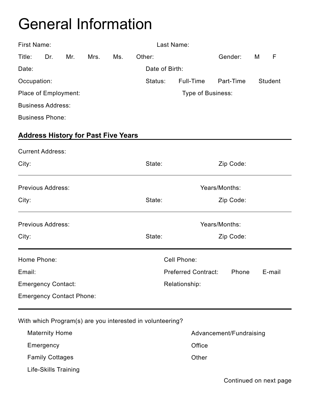## General Information

|                                            | First Name:<br>Last Name: |     |      |                                               |                                                           |                        |           |   |                |
|--------------------------------------------|---------------------------|-----|------|-----------------------------------------------|-----------------------------------------------------------|------------------------|-----------|---|----------------|
| Title:                                     | Dr.                       | Mr. | Mrs. | Ms.                                           | Other:                                                    |                        | Gender:   | M | F              |
| Date:                                      |                           |     |      |                                               | Date of Birth:                                            |                        |           |   |                |
| Occupation:                                |                           |     |      |                                               | Status:                                                   | Full-Time<br>Part-Time |           |   | <b>Student</b> |
| Place of Employment:                       |                           |     |      |                                               |                                                           | Type of Business:      |           |   |                |
| <b>Business Address:</b>                   |                           |     |      |                                               |                                                           |                        |           |   |                |
| <b>Business Phone:</b>                     |                           |     |      |                                               |                                                           |                        |           |   |                |
| <b>Address History for Past Five Years</b> |                           |     |      |                                               |                                                           |                        |           |   |                |
| <b>Current Address:</b>                    |                           |     |      |                                               |                                                           |                        |           |   |                |
| City:                                      |                           |     |      |                                               | State:                                                    |                        | Zip Code: |   |                |
| <b>Previous Address:</b>                   |                           |     |      |                                               | Years/Months:                                             |                        |           |   |                |
| City:                                      |                           |     |      |                                               | State:                                                    |                        | Zip Code: |   |                |
| Previous Address:                          |                           |     |      | Years/Months:                                 |                                                           |                        |           |   |                |
| City:                                      |                           |     |      | State:                                        | Zip Code:                                                 |                        |           |   |                |
| Home Phone:                                |                           |     |      |                                               |                                                           | Cell Phone:            |           |   |                |
| Email:                                     |                           |     |      | <b>Preferred Contract:</b><br>Phone<br>E-mail |                                                           |                        |           |   |                |
| <b>Emergency Contact:</b>                  |                           |     |      | Relationship:                                 |                                                           |                        |           |   |                |
| <b>Emergency Contact Phone:</b>            |                           |     |      |                                               |                                                           |                        |           |   |                |
|                                            |                           |     |      |                                               | With which Program(s) are you interested in volunteering? |                        |           |   |                |

| <b>Maternity Home</b>  | Advancement/Fundraising |
|------------------------|-------------------------|
| Emergency              | Office                  |
| <b>Family Cottages</b> | Other                   |
| Life-Skills Training   |                         |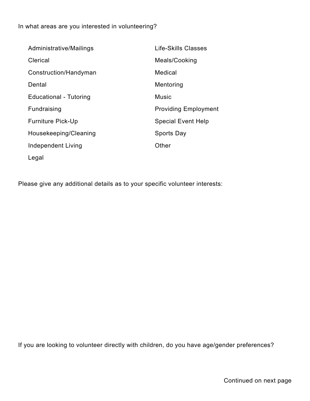In what areas are you interested in volunteering?

| Administrative/Mailings  | Life-Skills Classes         |
|--------------------------|-----------------------------|
| Clerical                 | Meals/Cooking               |
| Construction/Handyman    | Medical                     |
| Dental                   | Mentoring                   |
| Educational - Tutoring   | <b>Music</b>                |
| Fundraising              | <b>Providing Employment</b> |
| <b>Furniture Pick-Up</b> | <b>Special Event Help</b>   |
| Housekeeping/Cleaning    | <b>Sports Day</b>           |
| Independent Living       | Other                       |
| Legal                    |                             |

Please give any additional details as to your specific volunteer interests:

If you are looking to volunteer directly with children, do you have age/gender preferences?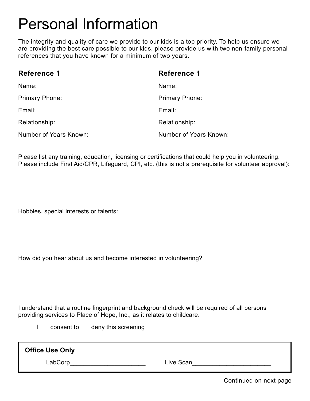## Personal Information

The integrity and quality of care we provide to our kids is a top priority. To help us ensure we are providing the best care possible to our kids, please provide us with two non-family personal references that you have known for a minimum of two years.

| <b>Reference 1</b>     | <b>Reference 1</b>     |
|------------------------|------------------------|
| Name:                  | Name:                  |
| Primary Phone:         | <b>Primary Phone:</b>  |
| Email:                 | Email:                 |
| Relationship:          | Relationship:          |
| Number of Years Known: | Number of Years Known: |

Please list any training, education, licensing or certifications that could help you in volunteering. Please include First Aid/CPR, Lifeguard, CPI, etc. (this is not a prerequisite for volunteer approval):

Hobbies, special interests or talents:

How did you hear about us and become interested in volunteering?

I understand that a routine fingerprint and background check will be required of all persons providing services to Place of Hope, Inc., as it relates to childcare.

I consent to deny this screening

| <b>Office Use Only</b> |           |
|------------------------|-----------|
| ∟abCorp                | Live Scan |